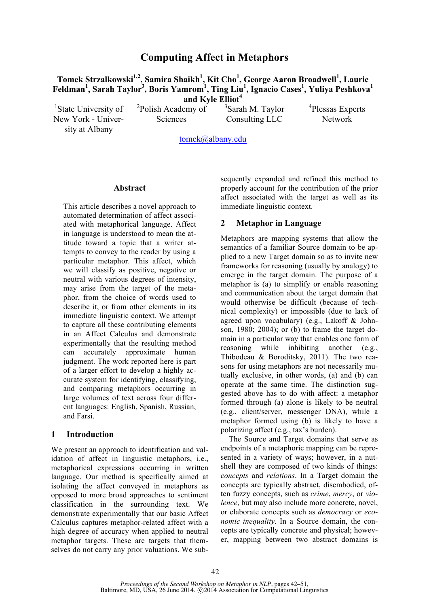# **Computing Affect in Metaphors**

 $Tomek Strzalkowski<sup>1,2</sup>, Samira Shaikh<sup>1</sup>, Kit Cho<sup>1</sup>, George Aaron Broadwell<sup>1</sup>, Laurie$  $F$ eldman<sup>1</sup>, Sarah Taylor<sup>3</sup>, Boris Yamrom<sup>1</sup>, Ting Liu<sup>1</sup>, Ignacio Cases<sup>1</sup>, Yuliya Peshkova<sup>1</sup> **and Kyle Elliot<sup>4</sup>**

<sup>1</sup>State University of New York - University at Albany

<sup>2</sup>Polish Academy of **Sciences** 

<sup>3</sup>Sarah M. Taylor Consulting LLC

4 Plessas Experts Network

tomek@albany.edu

#### **Abstract**

This article describes a novel approach to automated determination of affect associated with metaphorical language. Affect in language is understood to mean the attitude toward a topic that a writer attempts to convey to the reader by using a particular metaphor. This affect, which we will classify as positive, negative or neutral with various degrees of intensity, may arise from the target of the metaphor, from the choice of words used to describe it, or from other elements in its immediate linguistic context. We attempt to capture all these contributing elements in an Affect Calculus and demonstrate experimentally that the resulting method can accurately approximate human judgment. The work reported here is part of a larger effort to develop a highly accurate system for identifying, classifying, and comparing metaphors occurring in large volumes of text across four different languages: English, Spanish, Russian, and Farsi.

#### **1 Introduction**

We present an approach to identification and validation of affect in linguistic metaphors, i.e., metaphorical expressions occurring in written language. Our method is specifically aimed at isolating the affect conveyed in metaphors as opposed to more broad approaches to sentiment classification in the surrounding text. We demonstrate experimentally that our basic Affect Calculus captures metaphor-related affect with a high degree of accuracy when applied to neutral metaphor targets. These are targets that themselves do not carry any prior valuations. We subsequently expanded and refined this method to properly account for the contribution of the prior affect associated with the target as well as its immediate linguistic context.

### **2 Metaphor in Language**

Metaphors are mapping systems that allow the semantics of a familiar Source domain to be applied to a new Target domain so as to invite new frameworks for reasoning (usually by analogy) to emerge in the target domain. The purpose of a metaphor is (a) to simplify or enable reasoning and communication about the target domain that would otherwise be difficult (because of technical complexity) or impossible (due to lack of agreed upon vocabulary) (e.g., Lakoff & Johnson, 1980; 2004); or (b) to frame the target domain in a particular way that enables one form of reasoning while inhibiting another (e.g., Thibodeau & Boroditsky, 2011). The two reasons for using metaphors are not necessarily mutually exclusive, in other words, (a) and (b) can operate at the same time. The distinction suggested above has to do with affect: a metaphor formed through (a) alone is likely to be neutral (e.g., client/server, messenger DNA), while a metaphor formed using (b) is likely to have a polarizing affect (e.g., tax's burden).

The Source and Target domains that serve as endpoints of a metaphoric mapping can be represented in a variety of ways; however, in a nutshell they are composed of two kinds of things: *concepts* and *relations*. In a Target domain the concepts are typically abstract, disembodied, often fuzzy concepts, such as *crime*, *mercy*, or *violence*, but may also include more concrete, novel, or elaborate concepts such as *democracy* or *economic inequality*. In a Source domain, the concepts are typically concrete and physical; however, mapping between two abstract domains is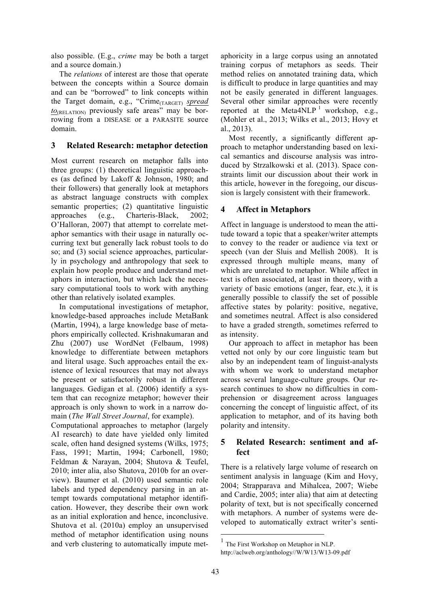also possible. (E.g., *crime* may be both a target and a source domain.)

The *relations* of interest are those that operate between the concepts within a Source domain and can be "borrowed" to link concepts within the Target domain, e.g., "Crime(TARGET) *spread to*(RELATION) previously safe areas" may be borrowing from a DISEASE or a PARASITE source domain.

### **3 Related Research: metaphor detection**

Most current research on metaphor falls into three groups: (1) theoretical linguistic approaches (as defined by Lakoff & Johnson, 1980; and their followers) that generally look at metaphors as abstract language constructs with complex semantic properties; (2) quantitative linguistic approaches (e.g., Charteris-Black, 2002; O'Halloran, 2007) that attempt to correlate metaphor semantics with their usage in naturally occurring text but generally lack robust tools to do so; and (3) social science approaches, particularly in psychology and anthropology that seek to explain how people produce and understand metaphors in interaction, but which lack the necessary computational tools to work with anything other than relatively isolated examples.

In computational investigations of metaphor, knowledge-based approaches include MetaBank (Martin, 1994), a large knowledge base of metaphors empirically collected. Krishnakumaran and Zhu (2007) use WordNet (Felbaum, 1998) knowledge to differentiate between metaphors and literal usage. Such approaches entail the existence of lexical resources that may not always be present or satisfactorily robust in different languages. Gedigan et al. (2006) identify a system that can recognize metaphor; however their approach is only shown to work in a narrow domain (*The Wall Street Journal*, for example).

Computational approaches to metaphor (largely AI research) to date have yielded only limited scale, often hand designed systems (Wilks, 1975; Fass, 1991; Martin, 1994; Carbonell, 1980; Feldman & Narayan, 2004; Shutova & Teufel, 2010; inter alia, also Shutova, 2010b for an overview). Baumer et al. (2010) used semantic role labels and typed dependency parsing in an attempt towards computational metaphor identification. However, they describe their own work as an initial exploration and hence, inconclusive. Shutova et al. (2010a) employ an unsupervised method of metaphor identification using nouns and verb clustering to automatically impute metaphoricity in a large corpus using an annotated training corpus of metaphors as seeds. Their method relies on annotated training data, which is difficult to produce in large quantities and may not be easily generated in different languages. Several other similar approaches were recently reported at the Meta4NLP<sup>1</sup> workshop, e.g., (Mohler et al., 2013; Wilks et al., 2013; Hovy et al., 2013).

Most recently, a significantly different approach to metaphor understanding based on lexical semantics and discourse analysis was introduced by Strzalkowski et al. (2013). Space constraints limit our discussion about their work in this article, however in the foregoing, our discussion is largely consistent with their framework.

## **4 Affect in Metaphors**

Affect in language is understood to mean the attitude toward a topic that a speaker/writer attempts to convey to the reader or audience via text or speech (van der Sluis and Mellish 2008). It is expressed through multiple means, many of which are unrelated to metaphor. While affect in text is often associated, at least in theory, with a variety of basic emotions (anger, fear, etc.), it is generally possible to classify the set of possible affective states by polarity: positive, negative, and sometimes neutral. Affect is also considered to have a graded strength, sometimes referred to as intensity.

Our approach to affect in metaphor has been vetted not only by our core linguistic team but also by an independent team of linguist-analysts with whom we work to understand metaphor across several language-culture groups. Our research continues to show no difficulties in comprehension or disagreement across languages concerning the concept of linguistic affect, of its application to metaphor, and of its having both polarity and intensity.

### **5 Related Research: sentiment and affect**

There is a relatively large volume of research on sentiment analysis in language (Kim and Hovy, 2004; Strapparava and Mihalcea, 2007; Wiebe and Cardie, 2005; inter alia) that aim at detecting polarity of text, but is not specifically concerned with metaphors. A number of systems were developed to automatically extract writer's senti-

<sup>&</sup>lt;sup>1</sup> The First Workshop on Metaphor in NLP. http://aclweb.org/anthology//W/W13/W13-09.pdf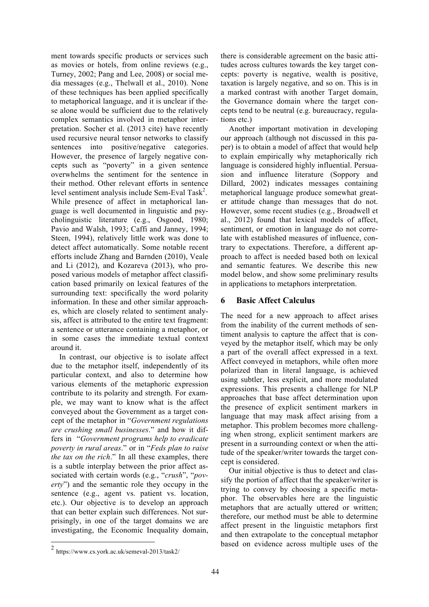ment towards specific products or services such as movies or hotels, from online reviews (e.g., Turney, 2002; Pang and Lee, 2008) or social media messages (e.g., Thelwall et al., 2010). None of these techniques has been applied specifically to metaphorical language, and it is unclear if these alone would be sufficient due to the relatively complex semantics involved in metaphor interpretation. Socher et al. (2013 cite) have recently used recursive neural tensor networks to classify sentences into positive/negative categories. However, the presence of largely negative concepts such as "poverty" in a given sentence overwhelms the sentiment for the sentence in their method. Other relevant efforts in sentence level sentiment analysis include Sem-Eval Task<sup>2</sup>. While presence of affect in metaphorical language is well documented in linguistic and psycholinguistic literature (e.g., Osgood, 1980; Pavio and Walsh, 1993; Caffi and Janney, 1994; Steen, 1994), relatively little work was done to detect affect automatically. Some notable recent efforts include Zhang and Barnden (2010), Veale and Li (2012), and Kozareva (2013), who proposed various models of metaphor affect classification based primarily on lexical features of the surrounding text: specifically the word polarity information. In these and other similar approaches, which are closely related to sentiment analysis, affect is attributed to the entire text fragment: a sentence or utterance containing a metaphor, or in some cases the immediate textual context around it.

In contrast, our objective is to isolate affect due to the metaphor itself, independently of its particular context, and also to determine how various elements of the metaphoric expression contribute to its polarity and strength. For example, we may want to know what is the affect conveyed about the Government as a target concept of the metaphor in "*Government regulations are crushing small businesses*." and how it differs in "*Government programs help to eradicate poverty in rural areas*." or in "*Feds plan to raise the tax on the rich*." In all these examples, there is a subtle interplay between the prior affect associated with certain words (e.g., "*crush*", "*poverty*") and the semantic role they occupy in the sentence (e.g., agent vs. patient vs. location, etc.). Our objective is to develop an approach that can better explain such differences. Not surprisingly, in one of the target domains we are investigating, the Economic Inequality domain,

there is considerable agreement on the basic attitudes across cultures towards the key target concepts: poverty is negative, wealth is positive, taxation is largely negative, and so on. This is in a marked contrast with another Target domain, the Governance domain where the target concepts tend to be neutral (e.g. bureaucracy, regulations etc.)

Another important motivation in developing our approach (although not discussed in this paper) is to obtain a model of affect that would help to explain empirically why metaphorically rich language is considered highly influential. Persuasion and influence literature (Soppory and Dillard, 2002) indicates messages containing metaphorical language produce somewhat greater attitude change than messages that do not. However, some recent studies (e.g., Broadwell et al., 2012) found that lexical models of affect, sentiment, or emotion in language do not correlate with established measures of influence, contrary to expectations. Therefore, a different approach to affect is needed based both on lexical and semantic features. We describe this new model below, and show some preliminary results in applications to metaphors interpretation.

## **6 Basic Affect Calculus**

The need for a new approach to affect arises from the inability of the current methods of sentiment analysis to capture the affect that is conveyed by the metaphor itself, which may be only a part of the overall affect expressed in a text. Affect conveyed in metaphors, while often more polarized than in literal language, is achieved using subtler, less explicit, and more modulated expressions. This presents a challenge for NLP approaches that base affect determination upon the presence of explicit sentiment markers in language that may mask affect arising from a metaphor. This problem becomes more challenging when strong, explicit sentiment markers are present in a surrounding context or when the attitude of the speaker/writer towards the target concept is considered.

Our initial objective is thus to detect and classify the portion of affect that the speaker/writer is trying to convey by choosing a specific metaphor. The observables here are the linguistic metaphors that are actually uttered or written; therefore, our method must be able to determine affect present in the linguistic metaphors first and then extrapolate to the conceptual metaphor based on evidence across multiple uses of the

<sup>2</sup> https://www.cs.york.ac.uk/semeval-2013/task2/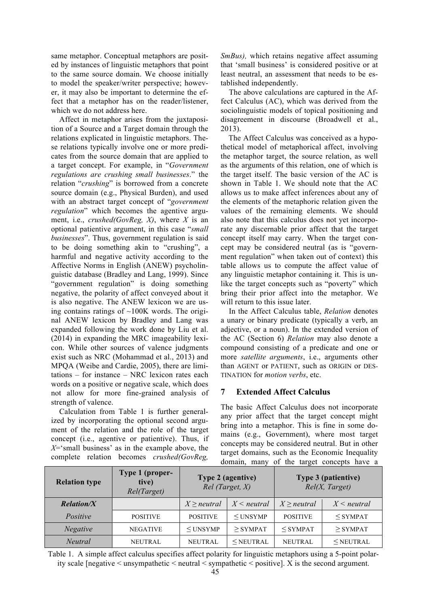same metaphor. Conceptual metaphors are posited by instances of linguistic metaphors that point to the same source domain. We choose initially to model the speaker/writer perspective; however, it may also be important to determine the effect that a metaphor has on the reader/listener, which we do not address here.

Affect in metaphor arises from the juxtaposition of a Source and a Target domain through the relations explicated in linguistic metaphors. These relations typically involve one or more predicates from the source domain that are applied to a target concept. For example, in "*Government regulations are crushing small businesses*." the relation "*crushing*" is borrowed from a concrete source domain (e.g., Physical Burden), and used with an abstract target concept of "*government regulation*" which becomes the agentive argument, i.e., *crushed(GovReg, X)*, where *X* is an optional patientive argument, in this case "*small businesses*". Thus, government regulation is said to be doing something akin to "crushing", a harmful and negative activity according to the Affective Norms in English (ANEW) psycholinguistic database (Bradley and Lang, 1999). Since "government regulation" is doing something negative, the polarity of affect conveyed about it is also negative. The ANEW lexicon we are using contains ratings of  $\sim$ 100K words. The original ANEW lexicon by Bradley and Lang was expanded following the work done by Liu et al. (2014) in expanding the MRC imageability lexicon. While other sources of valence judgments exist such as NRC (Mohammad et al., 2013) and MPQA (Weibe and Cardie, 2005), there are limitations – for instance – NRC lexicon rates each words on a positive or negative scale, which does not allow for more fine-grained analysis of strength of valence.

Calculation from Table 1 is further generalized by incorporating the optional second argument of the relation and the role of the target concept (i.e., agentive or patientive). Thus, if *X*='small business' as in the example above, the complete relation becomes *crushed(GovReg,* 

*SmBus),* which retains negative affect assuming that 'small business' is considered positive or at least neutral, an assessment that needs to be established independently.

The above calculations are captured in the Affect Calculus (AC), which was derived from the sociolinguistic models of topical positioning and disagreement in discourse (Broadwell et al., 2013).

 The Affect Calculus was conceived as a hypothetical model of metaphorical affect, involving the metaphor target, the source relation, as well as the arguments of this relation, one of which is the target itself. The basic version of the AC is shown in Table 1. We should note that the AC allows us to make affect inferences about any of the elements of the metaphoric relation given the values of the remaining elements. We should also note that this calculus does not yet incorporate any discernable prior affect that the target concept itself may carry. When the target concept may be considered neutral (as is "government regulation" when taken out of context) this table allows us to compute the affect value of any linguistic metaphor containing it. This is unlike the target concepts such as "poverty" which bring their prior affect into the metaphor. We will return to this issue later.

In the Affect Calculus table, *Relation* denotes a unary or binary predicate (typically a verb, an adjective, or a noun). In the extended version of the AC (Section 6) *Relation* may also denote a compound consisting of a predicate and one or more *satellite arguments*, i.e., arguments other than AGENT or PATIENT, such as ORIGIN or DES-TINATION for *motion verbs*, etc.

### **7 Extended Affect Calculus**

The basic Affect Calculus does not incorporate any prior affect that the target concept might bring into a metaphor. This is fine in some domains (e.g., Government), where most target concepts may be considered neutral. But in other target domains, such as the Economic Inequality domain, many of the target concepts have a

| <b>Relation type</b> | Type 1 (proper-<br>tive)<br>Rel(Target) | <b>Type 2 (agentive)</b><br>$Rel$ (Target, $X$ ) |                 | Type 3 (patientive)<br>Rel(X, Target) |               |
|----------------------|-----------------------------------------|--------------------------------------------------|-----------------|---------------------------------------|---------------|
| <b>Relation/X</b>    |                                         | $X \ge$ neutral                                  | $X \le$ neutral | $X \ge$ neutral                       | $X$ < neutral |
| Positive             | <b>POSITIVE</b>                         | <b>POSITIVE</b>                                  | $<$ UNSYMP      | <b>POSITIVE</b>                       | $<$ SYMPAT    |
| <b>Negative</b>      | <b>NEGATIVE</b>                         | $<$ UNSYMP                                       | $>$ SYMPAT      | $<$ SYMPAT                            | $>$ SYMPAT    |
| <i>Neutral</i>       | <b>NEUTRAL</b>                          | <b>NEUTRAL</b>                                   | $<$ NEUTRAL     | <b>NEUTRAL</b>                        | $<$ NEUTRAL   |

Table 1. A simple affect calculus specifies affect polarity for linguistic metaphors using a 5-point polarity scale [negative < unsympathetic < neutral < sympathetic < positive]. X is the second argument.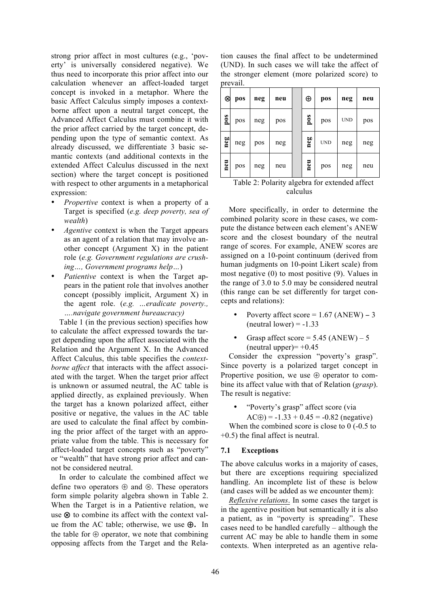strong prior affect in most cultures (e.g., 'poverty' is universally considered negative). We thus need to incorporate this prior affect into our calculation whenever an affect-loaded target concept is invoked in a metaphor. Where the basic Affect Calculus simply imposes a contextborne affect upon a neutral target concept, the Advanced Affect Calculus must combine it with the prior affect carried by the target concept, depending upon the type of semantic context. As already discussed, we differentiate 3 basic semantic contexts (and additional contexts in the extended Affect Calculus discussed in the next section) where the target concept is positioned with respect to other arguments in a metaphorical expression:

- *Propertive* context is when a property of a Target is specified (*e.g. deep poverty, sea of wealth*)
- *Agentive* context is when the Target appears as an agent of a relation that may involve another concept (Argument X) in the patient role (*e.g. Government regulations are crushing…, Government programs help…*)
- *Patientive* context is when the Target appears in the patient role that involves another concept (possibly implicit, Argument X) in the agent role. (*e.g. …eradicate poverty., ….navigate government bureaucracy)*

Table 1 (in the previous section) specifies how to calculate the affect expressed towards the target depending upon the affect associated with the Relation and the Argument X. In the Advanced Affect Calculus, this table specifies the *contextborne affect* that interacts with the affect associated with the target. When the target prior affect is unknown or assumed neutral, the AC table is applied directly, as explained previously. When the target has a known polarized affect, either positive or negative, the values in the AC table are used to calculate the final affect by combining the prior affect of the target with an appropriate value from the table. This is necessary for affect-loaded target concepts such as "poverty" or "wealth" that have strong prior affect and cannot be considered neutral.

In order to calculate the combined affect we define two operators ⊕ and ⊗. These operators form simple polarity algebra shown in Table 2. When the Target is in a Patientive relation, we use ⊗ to combine its affect with the context value from the AC table; otherwise, we use ⊕**.** In the table for  $\oplus$  operator, we note that combining opposing affects from the Target and the Relation causes the final affect to be undetermined (UND). In such cases we will take the affect of the stronger element (more polarized score) to prevail.

| ⊗   | pos | neg | neu | ⊕   | pos        | neg        | neu |
|-----|-----|-----|-----|-----|------------|------------|-----|
| pos | pos | neg | pos | pos | pos        | <b>UND</b> | pos |
| neg | neg | pos | neg | neg | <b>UND</b> | neg        | neg |
| neu | pos | neg | neu | neu | pos        | neg        | neu |

Table 2: Polarity algebra for extended affect calculus

More specifically, in order to determine the combined polarity score in these cases, we compute the distance between each element's ANEW score and the closest boundary of the neutral range of scores. For example, ANEW scores are assigned on a 10-point continuum (derived from human judgments on 10-point Likert scale) from most negative (0) to most positive (9). Values in the range of 3.0 to 5.0 may be considered neutral (this range can be set differently for target concepts and relations):

- Poverty affect score =  $1.67$  (ANEW) 3 (neutral lower)  $= -1.33$
- Grasp affect score =  $5.45$  (ANEW)  $5$ (neutral upper) $= +0.45$

Consider the expression "poverty's grasp". Since poverty is a polarized target concept in Propertive position, we use  $\oplus$  operator to combine its affect value with that of Relation (*grasp*). The result is negative:

• "Poverty's grasp" affect score (via

 $AC\oplus$ ) = -1.33 + 0.45 = -0.82 (negative) When the combined score is close to 0 (-0.5 to +0.5) the final affect is neutral.

## **7.1 Exceptions**

The above calculus works in a majority of cases, but there are exceptions requiring specialized handling. An incomplete list of these is below (and cases will be added as we encounter them):

*Reflexive relations*. In some cases the target is in the agentive position but semantically it is also a patient, as in "poverty is spreading". These cases need to be handled carefully – although the current AC may be able to handle them in some contexts. When interpreted as an agentive rela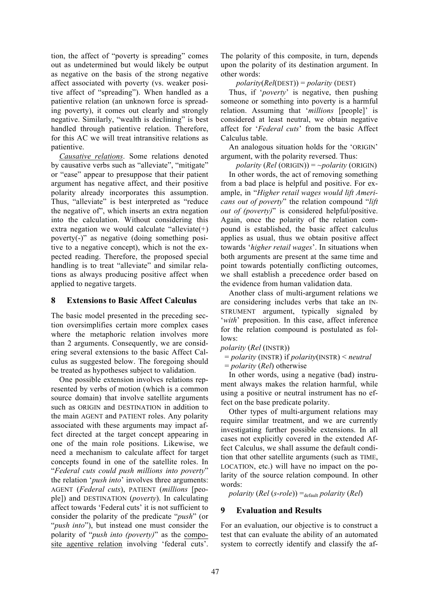tion, the affect of "poverty is spreading" comes out as undetermined but would likely be output as negative on the basis of the strong negative affect associated with poverty (vs. weaker positive affect of "spreading"). When handled as a patientive relation (an unknown force is spreading poverty), it comes out clearly and strongly negative. Similarly, "wealth is declining" is best handled through patientive relation. Therefore, for this AC we will treat intransitive relations as patientive.

*Causative relations*. Some relations denoted by causative verbs such as "alleviate", "mitigate" or "ease" appear to presuppose that their patient argument has negative affect, and their positive polarity already incorporates this assumption. Thus, "alleviate" is best interpreted as "reduce the negative of", which inserts an extra negation into the calculation. Without considering this extra negation we would calculate "alleviate(+) poverty(-)" as negative (doing something positive to a negative concept), which is not the expected reading. Therefore, the proposed special handling is to treat "alleviate" and similar relations as always producing positive affect when applied to negative targets.

### **8 Extensions to Basic Affect Calculus**

The basic model presented in the preceding section oversimplifies certain more complex cases where the metaphoric relation involves more than 2 arguments. Consequently, we are considering several extensions to the basic Affect Calculus as suggested below. The foregoing should be treated as hypotheses subject to validation.

One possible extension involves relations represented by verbs of motion (which is a common source domain) that involve satellite arguments such as ORIGIN and DESTINATION in addition to the main AGENT and PATIENT roles. Any polarity associated with these arguments may impact affect directed at the target concept appearing in one of the main role positions. Likewise, we need a mechanism to calculate affect for target concepts found in one of the satellite roles. In "*Federal cuts could push millions into poverty*" the relation '*push into*' involves three arguments: AGENT (*Federal cuts*), PATIENT (*millions* [people]) and DESTINATION (*poverty*). In calculating affect towards 'Federal cuts' it is not sufficient to consider the polarity of the predicate "*push*" (or "*push into*"), but instead one must consider the polarity of "*push into (poverty)*" as the composite agentive relation involving 'federal cuts'.

The polarity of this composite, in turn, depends upon the polarity of its destination argument. In other words:

### *polarity*(*Rel*(DEST)) = *polarity* (DEST)

Thus, if '*poverty*' is negative, then pushing someone or something into poverty is a harmful relation. Assuming that '*millions* [people]' is considered at least neutral, we obtain negative affect for '*Federal cuts*' from the basic Affect Calculus table.

An analogous situation holds for the 'ORIGIN' argument, with the polarity reversed. Thus:

*polarity* (*Rel* (ORIGIN)) = ~*polarity* (ORIGIN)

In other words, the act of removing something from a bad place is helpful and positive. For example, in "*Higher retail wages would lift Americans out of poverty*" the relation compound "*lift out of (poverty)*" is considered helpful/positive. Again, once the polarity of the relation compound is established, the basic affect calculus applies as usual, thus we obtain positive affect towards '*higher retail wages*'. In situations when both arguments are present at the same time and point towards potentially conflicting outcomes, we shall establish a precedence order based on the evidence from human validation data.

Another class of multi-argument relations we are considering includes verbs that take an IN-STRUMENT argument, typically signaled by '*with*' preposition. In this case, affect inference for the relation compound is postulated as follows:

*polarity* (*Rel* (INSTR))

= *polarity* (INSTR) if *polarity*(INSTR) < *neutral*

= *polarity* (*Rel*) otherwise

In other words, using a negative (bad) instrument always makes the relation harmful, while using a positive or neutral instrument has no effect on the base predicate polarity.

Other types of multi-argument relations may require similar treatment, and we are currently investigating further possible extensions. In all cases not explicitly covered in the extended Affect Calculus, we shall assume the default condition that other satellite arguments (such as TIME, LOCATION, etc.) will have no impact on the polarity of the source relation compound. In other words:

 $polarity (Rel (s-role)) =_{\text{default}}$  *polarity* (*Rel*)

## **9 Evaluation and Results**

For an evaluation, our objective is to construct a test that can evaluate the ability of an automated system to correctly identify and classify the af-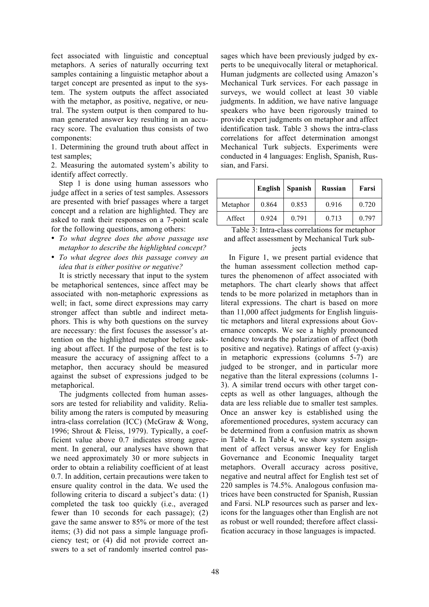fect associated with linguistic and conceptual metaphors. A series of naturally occurring text samples containing a linguistic metaphor about a target concept are presented as input to the system. The system outputs the affect associated with the metaphor, as positive, negative, or neutral. The system output is then compared to human generated answer key resulting in an accuracy score. The evaluation thus consists of two components:

1. Determining the ground truth about affect in test samples;

2. Measuring the automated system's ability to identify affect correctly.

Step 1 is done using human assessors who judge affect in a series of test samples. Assessors are presented with brief passages where a target concept and a relation are highlighted. They are asked to rank their responses on a 7-point scale for the following questions, among others:

- *To what degree does the above passage use metaphor to describe the highlighted concept?*
- *To what degree does this passage convey an idea that is either positive or negative?*

It is strictly necessary that input to the system be metaphorical sentences, since affect may be associated with non-metaphoric expressions as well; in fact, some direct expressions may carry stronger affect than subtle and indirect metaphors. This is why both questions on the survey are necessary: the first focuses the assessor's attention on the highlighted metaphor before asking about affect. If the purpose of the test is to measure the accuracy of assigning affect to a metaphor, then accuracy should be measured against the subset of expressions judged to be metaphorical.

The judgments collected from human assessors are tested for reliability and validity. Reliability among the raters is computed by measuring intra-class correlation (ICC) (McGraw & Wong, 1996; Shrout & Fleiss, 1979). Typically, a coefficient value above 0.7 indicates strong agreement. In general, our analyses have shown that we need approximately 30 or more subjects in order to obtain a reliability coefficient of at least 0.7. In addition, certain precautions were taken to ensure quality control in the data. We used the following criteria to discard a subject's data: (1) completed the task too quickly (i.e., averaged fewer than 10 seconds for each passage); (2) gave the same answer to 85% or more of the test items; (3) did not pass a simple language proficiency test; or (4) did not provide correct answers to a set of randomly inserted control passages which have been previously judged by experts to be unequivocally literal or metaphorical. Human judgments are collected using Amazon's Mechanical Turk services. For each passage in surveys, we would collect at least 30 viable judgments. In addition, we have native language speakers who have been rigorously trained to provide expert judgments on metaphor and affect identification task. Table 3 shows the intra-class correlations for affect determination amongst Mechanical Turk subjects. Experiments were conducted in 4 languages: English, Spanish, Russian, and Farsi.

|          | English | <b>Spanish</b> | <b>Russian</b> | Farsi |
|----------|---------|----------------|----------------|-------|
| Metaphor | 0.864   | 0.853          | 0.916          | 0.720 |
| Affect   | 0.924   | 0.791          | 0.713          | 0.797 |

Table 3: Intra-class correlations for metaphor and affect assessment by Mechanical Turk subjects

In Figure 1, we present partial evidence that the human assessment collection method captures the phenomenon of affect associated with metaphors. The chart clearly shows that affect tends to be more polarized in metaphors than in literal expressions. The chart is based on more than 11,000 affect judgments for English linguistic metaphors and literal expressions about Governance concepts. We see a highly pronounced tendency towards the polarization of affect (both positive and negative). Ratings of affect (y-axis) in metaphoric expressions (columns 5-7) are judged to be stronger, and in particular more negative than the literal expressions (columns 1- 3). A similar trend occurs with other target concepts as well as other languages, although the data are less reliable due to smaller test samples. Once an answer key is established using the aforementioned procedures, system accuracy can be determined from a confusion matrix as shown in Table 4. In Table 4, we show system assignment of affect versus answer key for English Governance and Economic Inequality target metaphors. Overall accuracy across positive, negative and neutral affect for English test set of 220 samples is 74.5%. Analogous confusion matrices have been constructed for Spanish, Russian and Farsi. NLP resources such as parser and lexicons for the languages other than English are not as robust or well rounded; therefore affect classification accuracy in those languages is impacted.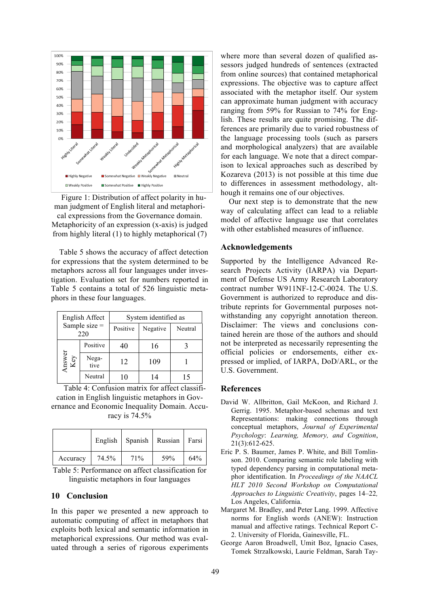

Figure 1: Distribution of affect polarity in human judgment of English literal and metaphorical expressions from the Governance domain. Metaphoricity of an expression (x-axis) is judged from highly literal (1) to highly metaphorical (7)

Table 5 shows the accuracy of affect detection for expressions that the system determined to be metaphors across all four languages under investigation. Evaluation set for numbers reported in Table 5 contains a total of 526 linguistic metaphors in these four languages.

| English Affect         |               | System identified as |          |         |  |
|------------------------|---------------|----------------------|----------|---------|--|
| Sample size $=$<br>220 |               | Positive             | Negative | Neutral |  |
|                        | Positive      | 40                   | 16       |         |  |
| Answer<br>Key          | Nega-<br>tive | 12                   | 109      |         |  |
|                        | Neutral       | 10                   | 14       |         |  |

Table 4: Confusion matrix for affect classification in English linguistic metaphors in Governance and Economic Inequality Domain. Accuracy is 74.5%

|          |       | English   Spanish   Russian   Farsi |     |     |
|----------|-------|-------------------------------------|-----|-----|
| Accuracy | 74.5% | 71%                                 | 59% | 64% |

Table 5: Performance on affect classification for linguistic metaphors in four languages

#### **10 Conclusion**

In this paper we presented a new approach to automatic computing of affect in metaphors that exploits both lexical and semantic information in metaphorical expressions. Our method was evaluated through a series of rigorous experiments

where more than several dozen of qualified assessors judged hundreds of sentences (extracted from online sources) that contained metaphorical expressions. The objective was to capture affect associated with the metaphor itself. Our system can approximate human judgment with accuracy ranging from 59% for Russian to 74% for English. These results are quite promising. The differences are primarily due to varied robustness of the language processing tools (such as parsers and morphological analyzers) that are available for each language. We note that a direct comparison to lexical approaches such as described by Kozareva (2013) is not possible at this time due to differences in assessment methodology, although it remains one of our objectives.

Our next step is to demonstrate that the new way of calculating affect can lead to a reliable model of affective language use that correlates with other established measures of influence.

### **Acknowledgements**

Supported by the Intelligence Advanced Research Projects Activity (IARPA) via Department of Defense US Army Research Laboratory contract number W911NF-12-C-0024. The U.S. Government is authorized to reproduce and distribute reprints for Governmental purposes notwithstanding any copyright annotation thereon. Disclaimer: The views and conclusions contained herein are those of the authors and should not be interpreted as necessarily representing the official policies or endorsements, either expressed or implied, of IARPA, DoD/ARL, or the U.S. Government.

#### **References**

- David W. Allbritton, Gail McKoon, and Richard J. Gerrig. 1995. Metaphor-based schemas and text Representations: making connections through conceptual metaphors, *Journal of Experimental Psychology*: *Learning, Memory, and Cognition*, 21(3):612-625.
- Eric P. S. Baumer, James P. White, and Bill Tomlinson. 2010. Comparing semantic role labeling with typed dependency parsing in computational metaphor identification. In *Proceedings of the NAACL HLT 2010 Second Workshop on Computational Approaches to Linguistic Creativity*, pages 14–22*,*  Los Angeles, California.
- Margaret M. Bradley, and Peter Lang. 1999. Affective norms for English words (ANEW): Instruction manual and affective ratings. Technical Report C-2. University of Florida, Gainesville, FL.
- George Aaron Broadwell, Umit Boz, Ignacio Cases, Tomek Strzalkowski, Laurie Feldman, Sarah Tay-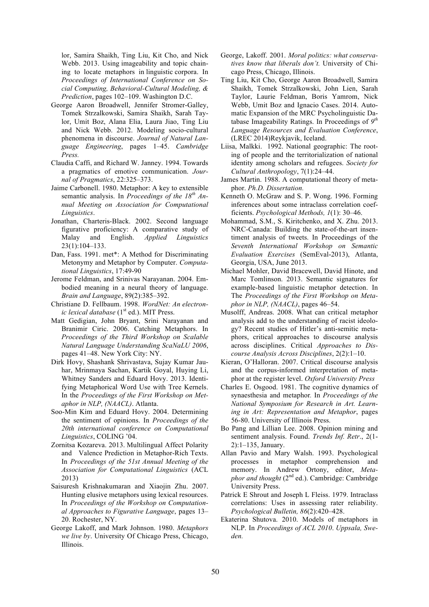lor, Samira Shaikh, Ting Liu, Kit Cho, and Nick Webb. 2013. Using imageability and topic chaining to locate metaphors in linguistic corpora. In *Proceedings of International Conference on Social Computing, Behavioral-Cultural Modeling, & Prediction*, pages 102–109. Washington D.C.

- George Aaron Broadwell, Jennifer Stromer-Galley, Tomek Strzalkowski, Samira Shaikh, Sarah Taylor, Umit Boz, Alana Elia, Laura Jiao, Ting Liu and Nick Webb. 2012. Modeling socio-cultural phenomena in discourse. *Journal of Natural Language Engineering*, pages 1–45. *Cambridge Press.*
- Claudia Caffi, and Richard W. Janney. 1994. Towards a pragmatics of emotive communication. *Journal of Pragmatics*, 22:325–373.
- Jaime Carbonell. 1980. Metaphor: A key to extensible semantic analysis. In *Proceedings of the 18th Annual Meeting on Association for Computational Linguistics*.
- Jonathan, Charteris-Black. 2002. Second language figurative proficiency: A comparative study of Malay and English. *Applied Linguistics*  23(1):104–133.
- Dan, Fass. 1991. met\*: A Method for Discriminating Metonymy and Metaphor by Computer. *Computational Linguistics*, 17:49-90
- Jerome Feldman, and Srinivas Narayanan. 2004. Embodied meaning in a neural theory of language. *Brain and Language*, 89(2):385–392.
- Christiane D. Fellbaum. 1998. *WordNet: An electronic lexical database* (1<sup>st</sup> ed.). MIT Press.
- Matt Gedigian, John Bryant, Srini Narayanan and Branimir Ciric. 2006. Catching Metaphors. In *Proceedings of the Third Workshop on Scalable Natural Language Understanding ScaNaLU 2006*, pages 41–48. New York City: NY.
- Dirk Hovy, Shashank Shrivastava, Sujay Kumar Jauhar, Mrinmaya Sachan, Kartik Goyal, Huying Li, Whitney Sanders and Eduard Hovy. 2013. Identifying Metaphorical Word Use with Tree Kernels. In the *Proceedings of the First Workshop on Metaphor in NLP, (NAACL)*. Atlanta.
- Soo-Min Kim and Eduard Hovy. 2004. Determining the sentiment of opinions. In *Proceedings of the 20th international conference on Computational Linguistics*, COLING '04.
- Zornitsa Kozareva. 2013. Multilingual Affect Polarity and Valence Prediction in Metaphor-Rich Texts. In *Proceedings of the 51st Annual Meeting of the Association for Computational Linguistics* (ACL 2013)
- Saisuresh Krishnakumaran and Xiaojin Zhu. 2007. Hunting elusive metaphors using lexical resources. In *Proceedings of the Workshop on Computational Approaches to Figurative Language*, pages 13– 20. Rochester, NY.
- George Lakoff, and Mark Johnson. 1980. *Metaphors we live by*. University Of Chicago Press, Chicago, Illinois.
- George, Lakoff. 2001. *Moral politics: what conservatives know that liberals don't.* University of Chicago Press, Chicago, Illinois.
- Ting Liu, Kit Cho, George Aaron Broadwell, Samira Shaikh, Tomek Strzalkowski, John Lien, Sarah Taylor, Laurie Feldman, Boris Yamrom, Nick Webb, Umit Boz and Ignacio Cases. 2014. Automatic Expansion of the MRC Psycholinguistic Database Imageability Ratings. In Proceedings of *9th Language Resources and Evaluation Conference*, (LREC 2014)Reykjavik, Iceland.
- Liisa, Malkki. 1992. National geographic: The rooting of people and the territorialization of national identity among scholars and refugees. *Society for Cultural Anthropology*, 7(1):24–44.
- James Martin. 1988. A computational theory of metaphor. *Ph.D. Dissertation.*
- Kenneth O. McGraw and S. P. Wong. 1996. Forming inferences about some intraclass correlation coefficients. *Psychological Methods, 1*(1): 30–46.
- Mohammad, S.M., S. Kiritchenko, and X. Zhu. 2013. NRC-Canada: Building the state-of-the-art insentiment analysis of tweets. In Proceedings of the *Seventh International Workshop on Semantic Evaluation Exercises* (SemEval-2013), Atlanta, Georgia, USA, June 2013.
- Michael Mohler, David Bracewell, David Hinote, and Marc Tomlinson. 2013. Semantic signatures for example-based linguistic metaphor detection. In The *Proceedings of the First Workshop on Metaphor in NLP, (NAACL)*, pages 46–54.
- Musolff, Andreas. 2008. What can critical metaphor analysis add to the understanding of racist ideology? Recent studies of Hitler's anti-semitic metaphors, critical approaches to discourse analysis across disciplines. Critical *Approaches to Discourse Analysis Across Disciplines*, 2(2):1–10.
- Kieran, O'Halloran. 2007. Critical discourse analysis and the corpus-informed interpretation of metaphor at the register level. *Oxford University Press*
- Charles E. Osgood. 1981. The cognitive dynamics of synaesthesia and metaphor*.* In *Proceedings of the National Symposium for Research in Art. Learning in Art: Representation and Metaphor*, pages 56-80. University of Illinois Press.
- Bo Pang and Lillian Lee. 2008. Opinion mining and sentiment analysis. Found. *Trends Inf. Retr*., 2(1- 2):1–135, January.
- Allan Pavio and Mary Walsh. 1993. Psychological processes in metaphor comprehension and memory. In Andrew Ortony, editor, *Metaphor and thought* (2<sup>nd</sup> ed.). Cambridge: Cambridge University Press.
- Patrick E Shrout and Joseph L Fleiss. 1979. Intraclass correlations: Uses in assessing rater reliability. *Psychological Bulletin, 86*(2):420–428.
- Ekaterina Shutova. 2010. Models of metaphors in NLP. In *Proceedings of ACL 2010*. *Uppsala, Sweden.*